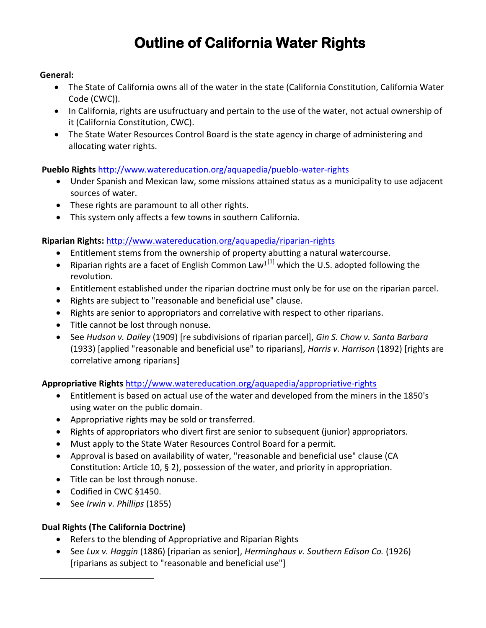# **Outline of California Water Rights**

#### **General:**

- The State of California owns all of the water in the state (California Constitution, California Water Code (CWC)).
- In California, rights are usufructuary and pertain to the use of the water, not actual ownership of it (California Constitution, CWC).
- The State Water Resources Control Board is the state agency in charge of administering and allocating water rights.

## **Pueblo Rights** <http://www.watereducation.org/aquapedia/pueblo-water-rights>

- Under Spanish and Mexican law, some missions attained status as a municipality to use adjacent sources of water.
- These rights are paramount to all other rights.
- This system only affects a few towns in southern California.

## **Riparian Rights:** <http://www.watereducation.org/aquapedia/riparian-rights>

- Entitlement stems from the ownership of property abutting a natural watercourse.
- Riparian rights are a facet of English Common Law<sup>1[1]</sup> which the U.S. adopted following the revolution.
- Entitlement established under the riparian doctrine must only be for use on the riparian parcel.
- Rights are subject to "reasonable and beneficial use" clause.
- Rights are senior to appropriators and correlative with respect to other riparians.
- Title cannot be lost through nonuse.
- See *Hudson v. Dailey* (1909) [re subdivisions of riparian parcel], *Gin S. Chow v. Santa Barbara* (1933) [applied "reasonable and beneficial use" to riparians], *Harris v. Harrison* (1892) [rights are correlative among riparians]

## **Appropriative Rights** <http://www.watereducation.org/aquapedia/appropriative-rights>

- Entitlement is based on actual use of the water and developed from the miners in the 1850's using water on the public domain.
- Appropriative rights may be sold or transferred.
- Rights of appropriators who divert first are senior to subsequent (junior) appropriators.
- Must apply to the State Water Resources Control Board for a permit.
- Approval is based on availability of water, "reasonable and beneficial use" clause (CA Constitution: Article 10, § 2), possession of the water, and priority in appropriation.
- Title can be lost through nonuse.
- Codified in CWC §1450.
- See *Irwin v. Phillips* (1855)

# **Dual Rights (The California Doctrine)**

 $\overline{a}$ 

- Refers to the blending of Appropriative and Riparian Rights
- See *Lux v. Haggin* (1886) [riparian as senior], *Herminghaus v. Southern Edison Co.* (1926) [riparians as subject to "reasonable and beneficial use"]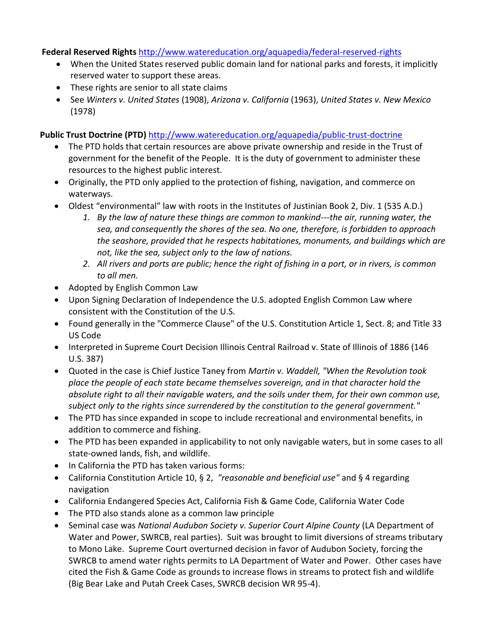## **Federal Reserved Rights** <http://www.watereducation.org/aquapedia/federal-reserved-rights>

- When the United States reserved public domain land for national parks and forests, it implicitly reserved water to support these areas.
- These rights are senior to all state claims
- See *Winters v. United States* (1908), *Arizona v. California* (1963), *United States v. New Mexico* (1978)

## **Public Trust Doctrine (PTD)** <http://www.watereducation.org/aquapedia/public-trust-doctrine>

- The PTD holds that certain resources are above private ownership and reside in the Trust of government for the benefit of the People. It is the duty of government to administer these resources to the highest public interest.
- Originally, the PTD only applied to the protection of fishing, navigation, and commerce on waterways.
- Oldest "environmental" law with roots in the Institutes of Justinian Book 2, Div. 1 (535 A.D.)
	- *1. By the law of nature these things are common to mankind---the air, running water, the sea, and consequently the shores of the sea. No one, therefore, is forbidden to approach the seashore, provided that he respects habitationes, monuments, and buildings which are not, like the sea, subject only to the law of nations.*
	- *2. All rivers and ports are public; hence the right of fishing in a port, or in rivers, is common to all men.*
- Adopted by English Common Law
- Upon Signing Declaration of Independence the U.S. adopted English Common Law where consistent with the Constitution of the U.S.
- Found generally in the "Commerce Clause" of the U.S. Constitution Article 1, Sect. 8; and Title 33 US Code
- Interpreted in Supreme Court Decision Illinois Central Railroad v. State of Illinois of 1886 (146 U.S. 387)
- Quoted in the case is Chief Justice Taney from *Martin v. Waddell, "When the Revolution took place the people of each state became themselves sovereign, and in that character hold the absolute right to all their navigable waters, and the soils under them, for their own common use, subject only to the rights since surrendered by the constitution to the general government."*
- The PTD has since expanded in scope to include recreational and environmental benefits, in addition to commerce and fishing.
- The PTD has been expanded in applicability to not only navigable waters, but in some cases to all state-owned lands, fish, and wildlife.
- In California the PTD has taken various forms:
- California Constitution Article 10, § 2, *"reasonable and beneficial use"* and § 4 regarding navigation
- California Endangered Species Act, California Fish & Game Code, California Water Code
- The PTD also stands alone as a common law principle
- Seminal case was *National Audubon Society v. Superior Court Alpine County* (LA Department of Water and Power, SWRCB, real parties). Suit was brought to limit diversions of streams tributary to Mono Lake. Supreme Court overturned decision in favor of Audubon Society, forcing the SWRCB to amend water rights permits to LA Department of Water and Power. Other cases have cited the Fish & Game Code as grounds to increase flows in streams to protect fish and wildlife (Big Bear Lake and Putah Creek Cases, SWRCB decision WR 95-4).